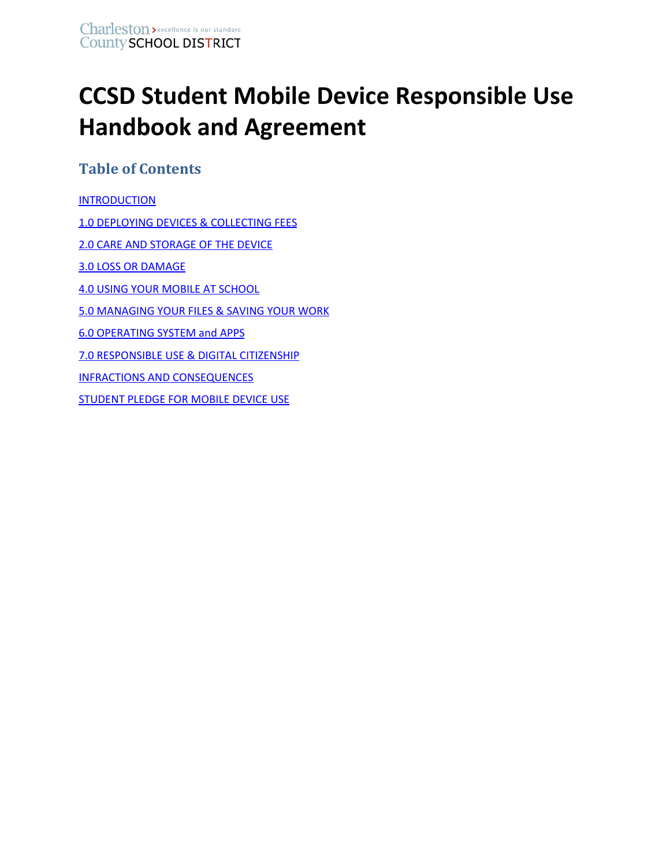# **CCSD Student Mobile Device Responsible Use Handbook and Agreement**

# **Table of Contents**

<span id="page-0-0"></span>**[INTRODUCTION](#page-0-0)** 1.0 DEPLOYING DEVICES & [COLLECTING](#page-1-0) FEES 2.0 CARE AND [STORAGE](#page-2-0) OF THE DEVICE 3.0 LOSS OR [DAMAGE](#page-3-0) 4.0 USING YOUR MOBILE AT [SCHOOL](#page-4-0) 5.0 [MANAGING](#page-5-0) YOUR FILES & SAVING YOUR WORK 6.0 [OPERATING](#page-5-1) SYSTEM and APPS 7.0 [RESPONSIBLE](#page-5-2) USE & DIGITAL CITIZENSHIP INFRACTIONS AND [CONSEQUENCES](#page-7-0) **[STUDENT](#page-8-0) PLEDGE FOR MOBILE DEVICE USE**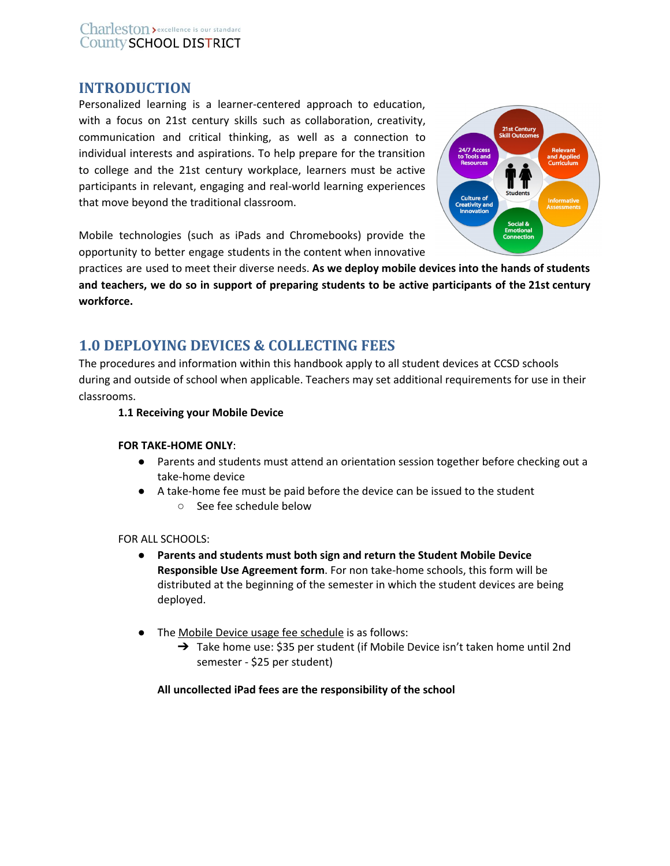# **INTRODUCTION**

Personalized learning is a learner-centered approach to education, with a focus on 21st century skills such as collaboration, creativity, communication and critical thinking, as well as a connection to individual interests and aspirations. To help prepare for the transition to college and the 21st century workplace, learners must be active participants in relevant, engaging and real-world learning experiences that move beyond the traditional classroom.



Mobile technologies (such as iPads and Chromebooks) provide the opportunity to better engage students in the content when innovative

practices are used to meet their diverse needs. **As we deploy mobile devices into the hands of students** and teachers, we do so in support of preparing students to be active participants of the 21st century **workforce.**

# <span id="page-1-0"></span>**1.0 DEPLOYING DEVICES & COLLECTING FEES**

The procedures and information within this handbook apply to all student devices at CCSD schools during and outside of school when applicable. Teachers may set additional requirements for use in their classrooms.

# **1.1 Receiving your Mobile Device**

#### **FOR TAKE-HOME ONLY**:

- Parents and students must attend an orientation session together before checking out a take-home device
- A take-home fee must be paid before the device can be issued to the student ○ See fee schedule below

#### FOR ALL SCHOOLS:

- **Parents and students must both sign and return the Student Mobile Device Responsible Use Agreement form**. For non take-home schools, this form will be distributed at the beginning of the semester in which the student devices are being deployed.
- The Mobile Device usage fee schedule is as follows:
	- → Take home use: \$35 per student (if Mobile Device isn't taken home until 2nd semester - \$25 per student)

#### **All uncollected iPad fees are the responsibility of the school**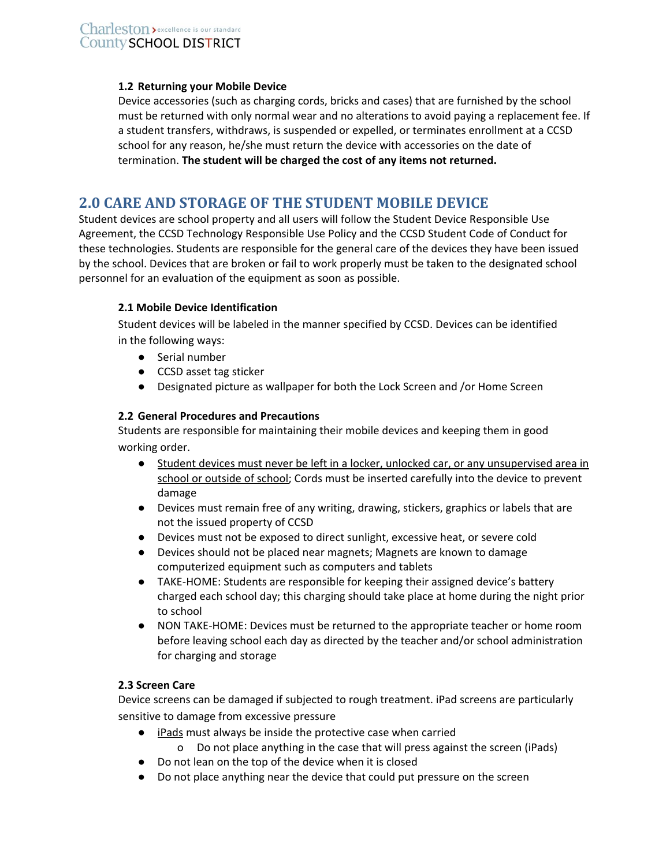#### **1.2 Returning your Mobile Device**

Device accessories (such as charging cords, bricks and cases) that are furnished by the school must be returned with only normal wear and no alterations to avoid paying a replacement fee. If a student transfers, withdraws, is suspended or expelled, or terminates enrollment at a CCSD school for any reason, he/she must return the device with accessories on the date of termination. **The student will be charged the cost of any items not returned.**

# <span id="page-2-0"></span>**2.0 CARE AND STORAGE OF THE STUDENT MOBILE DEVICE**

Student devices are school property and all users will follow the Student Device Responsible Use Agreement, the CCSD Technology Responsible Use Policy and the CCSD Student Code of Conduct for these technologies. Students are responsible for the general care of the devices they have been issued by the school. Devices that are broken or fail to work properly must be taken to the designated school personnel for an evaluation of the equipment as soon as possible.

# **2.1 Mobile Device Identification**

Student devices will be labeled in the manner specified by CCSD. Devices can be identified in the following ways:

- Serial number
- CCSD asset tag sticker
- Designated picture as wallpaper for both the Lock Screen and /or Home Screen

### **2.2 General Procedures and Precautions**

Students are responsible for maintaining their mobile devices and keeping them in good working order.

- Student devices must never be left in a locker, unlocked car, or any unsupervised area in school or outside of school; Cords must be inserted carefully into the device to prevent damage
- Devices must remain free of any writing, drawing, stickers, graphics or labels that are not the issued property of CCSD
- Devices must not be exposed to direct sunlight, excessive heat, or severe cold
- Devices should not be placed near magnets; Magnets are known to damage computerized equipment such as computers and tablets
- TAKE-HOME: Students are responsible for keeping their assigned device's battery charged each school day; this charging should take place at home during the night prior to school
- NON TAKE-HOME: Devices must be returned to the appropriate teacher or home room before leaving school each day as directed by the teacher and/or school administration for charging and storage

# **2.3 Screen Care**

Device screens can be damaged if subjected to rough treatment. iPad screens are particularly sensitive to damage from excessive pressure

- iPads must always be inside the protective case when carried
	- o Do not place anything in the case that will press against the screen (iPads)
- Do not lean on the top of the device when it is closed
- Do not place anything near the device that could put pressure on the screen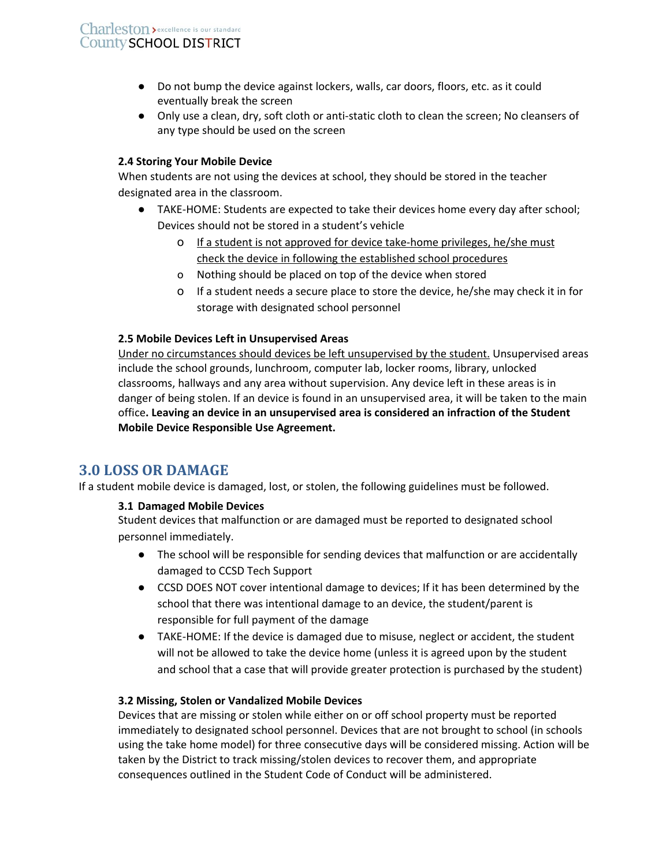- Do not bump the device against lockers, walls, car doors, floors, etc. as it could eventually break the screen
- Only use a clean, dry, soft cloth or anti-static cloth to clean the screen; No cleansers of any type should be used on the screen

#### **2.4 Storing Your Mobile Device**

When students are not using the devices at school, they should be stored in the teacher designated area in the classroom.

- TAKE-HOME: Students are expected to take their devices home every day after school; Devices should not be stored in a student's vehicle
	- o If a student is not approved for device take-home privileges, he/she must check the device in following the established school procedures
	- o Nothing should be placed on top of the device when stored
	- o If a student needs a secure place to store the device, he/she may check it in for storage with designated school personnel

### **2.5 Mobile Devices Left in Unsupervised Areas**

Under no circumstances should devices be left unsupervised by the student. Unsupervised areas include the school grounds, lunchroom, computer lab, locker rooms, library, unlocked classrooms, hallways and any area without supervision. Any device left in these areas is in danger of being stolen. If an device is found in an unsupervised area, it will be taken to the main office**. Leaving an device in an unsupervised area is considered an infraction of the Student Mobile Device Responsible Use Agreement.**

# <span id="page-3-0"></span>**3.0 LOSS OR DAMAGE**

If a student mobile device is damaged, lost, or stolen, the following guidelines must be followed.

# **3.1 Damaged Mobile Devices**

Student devices that malfunction or are damaged must be reported to designated school personnel immediately.

- The school will be responsible for sending devices that malfunction or are accidentally damaged to CCSD Tech Support
- CCSD DOES NOT cover intentional damage to devices; If it has been determined by the school that there was intentional damage to an device, the student/parent is responsible for full payment of the damage
- TAKE-HOME: If the device is damaged due to misuse, neglect or accident, the student will not be allowed to take the device home (unless it is agreed upon by the student and school that a case that will provide greater protection is purchased by the student)

#### **3.2 Missing, Stolen or Vandalized Mobile Devices**

Devices that are missing or stolen while either on or off school property must be reported immediately to designated school personnel. Devices that are not brought to school (in schools using the take home model) for three consecutive days will be considered missing. Action will be taken by the District to track missing/stolen devices to recover them, and appropriate consequences outlined in the Student Code of Conduct will be administered.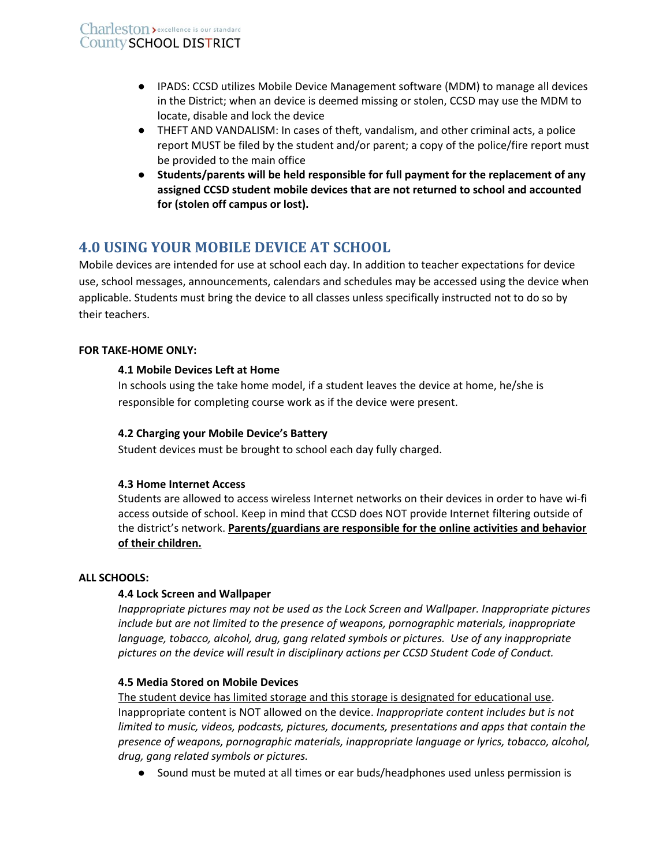- IPADS: CCSD utilizes Mobile Device Management software (MDM) to manage all devices in the District; when an device is deemed missing or stolen, CCSD may use the MDM to locate, disable and lock the device
- THEFT AND VANDALISM: In cases of theft, vandalism, and other criminal acts, a police report MUST be filed by the student and/or parent; a copy of the police/fire report must be provided to the main office
- **● Students/parents will be held responsible for full payment for the replacement of any assigned CCSD student mobile devices that are not returned to school and accounted for (stolen off campus or lost).**

# <span id="page-4-0"></span>**4.0 USING YOUR MOBILE DEVICE AT SCHOOL**

Mobile devices are intended for use at school each day. In addition to teacher expectations for device use, school messages, announcements, calendars and schedules may be accessed using the device when applicable. Students must bring the device to all classes unless specifically instructed not to do so by their teachers.

# **FOR TAKE-HOME ONLY:**

# **4.1 Mobile Devices Left at Home**

In schools using the take home model, if a student leaves the device at home, he/she is responsible for completing course work as if the device were present.

# **4.2 Charging your Mobile Device's Battery**

Student devices must be brought to school each day fully charged.

# **4.3 Home Internet Access**

Students are allowed to access wireless Internet networks on their devices in order to have wi-fi access outside of school. Keep in mind that CCSD does NOT provide Internet filtering outside of the district's network. **Parents/guardians are responsible for the online activities and behavior of their children.**

# **ALL SCHOOLS:**

# **4.4 Lock Screen and Wallpaper**

*Inappropriate pictures may not be used as the Lock Screen and Wallpaper. Inappropriate pictures include but are not limited to the presence of weapons, pornographic materials, inappropriate language, tobacco, alcohol, drug, gang related symbols or pictures. Use of any inappropriate pictures on the device will result in disciplinary actions per CCSD Student Code of Conduct.*

# **4.5 Media Stored on Mobile Devices**

The student device has limited storage and this storage is designated for educational use. Inappropriate content is NOT allowed on the device. *Inappropriate content includes but is not limited to music, videos, podcasts, pictures, documents, presentations and apps that contain the presence of weapons, pornographic materials, inappropriate language or lyrics, tobacco, alcohol, drug, gang related symbols or pictures.*

● Sound must be muted at all times or ear buds/headphones used unless permission is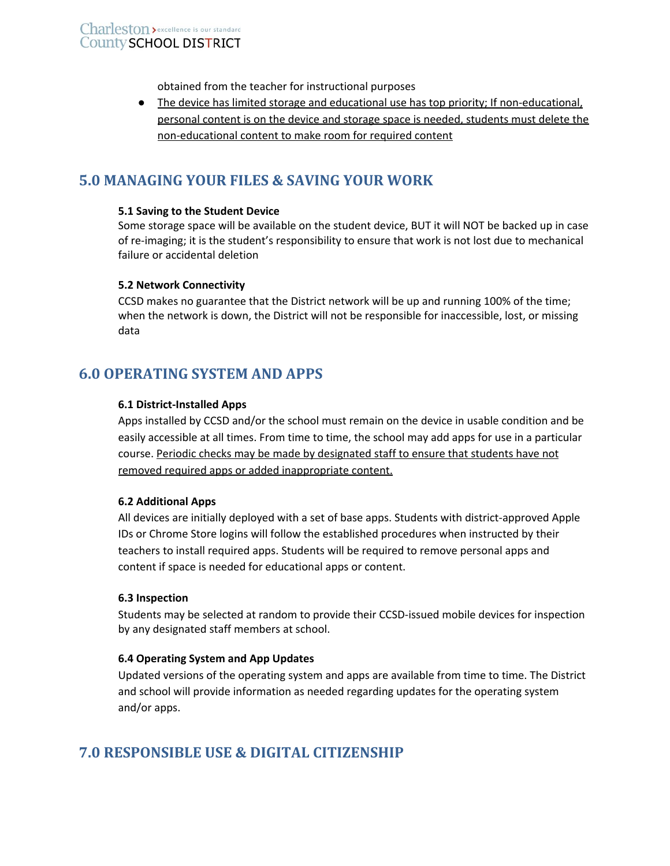obtained from the teacher for instructional purposes

● The device has limited storage and educational use has top priority; If non-educational, personal content is on the device and storage space is needed, students must delete the non-educational content to make room for required content

# <span id="page-5-0"></span>**5.0 MANAGING YOUR FILES & SAVING YOUR WORK**

#### **5.1 Saving to the Student Device**

Some storage space will be available on the student device, BUT it will NOT be backed up in case of re-imaging; it is the student's responsibility to ensure that work is not lost due to mechanical failure or accidental deletion

#### **5.2 Network Connectivity**

CCSD makes no guarantee that the District network will be up and running 100% of the time; when the network is down, the District will not be responsible for inaccessible, lost, or missing data

# <span id="page-5-1"></span>**6.0 OPERATING SYSTEM AND APPS**

#### **6.1 District-Installed Apps**

Apps installed by CCSD and/or the school must remain on the device in usable condition and be easily accessible at all times. From time to time, the school may add apps for use in a particular course. Periodic checks may be made by designated staff to ensure that students have not removed required apps or added inappropriate content.

#### **6.2 Additional Apps**

All devices are initially deployed with a set of base apps. Students with district-approved Apple IDs or Chrome Store logins will follow the established procedures when instructed by their teachers to install required apps. Students will be required to remove personal apps and content if space is needed for educational apps or content.

#### **6.3 Inspection**

Students may be selected at random to provide their CCSD-issued mobile devices for inspection by any designated staff members at school.

#### **6.4 Operating System and App Updates**

Updated versions of the operating system and apps are available from time to time. The District and school will provide information as needed regarding updates for the operating system and/or apps.

# <span id="page-5-2"></span>**7.0 RESPONSIBLE USE & DIGITAL CITIZENSHIP**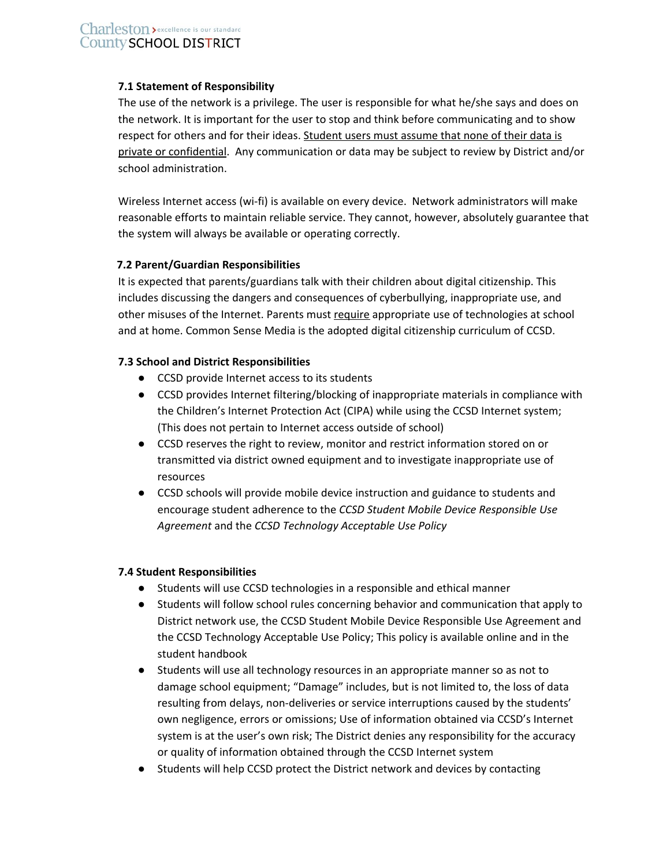### **7.1 Statement of Responsibility**

The use of the network is a privilege. The user is responsible for what he/she says and does on the network. It is important for the user to stop and think before communicating and to show respect for others and for their ideas. Student users must assume that none of their data is private or confidential. Any communication or data may be subject to review by District and/or school administration.

Wireless Internet access (wi-fi) is available on every device. Network administrators will make reasonable efforts to maintain reliable service. They cannot, however, absolutely guarantee that the system will always be available or operating correctly.

# **7.2 Parent/Guardian Responsibilities**

It is expected that parents/guardians talk with their children about digital citizenship. This includes discussing the dangers and consequences of cyberbullying, inappropriate use, and other misuses of the Internet. Parents must require appropriate use of technologies at school and at home. Common Sense Media is the adopted digital citizenship curriculum of CCSD.

### **7.3 School and District Responsibilities**

- CCSD provide Internet access to its students
- CCSD provides Internet filtering/blocking of inappropriate materials in compliance with the Children's Internet Protection Act (CIPA) while using the CCSD Internet system; (This does not pertain to Internet access outside of school)
- CCSD reserves the right to review, monitor and restrict information stored on or transmitted via district owned equipment and to investigate inappropriate use of resources
- CCSD schools will provide mobile device instruction and guidance to students and encourage student adherence to the *CCSD Student Mobile Device Responsible Use Agreement* and the *CCSD Technology Acceptable Use Policy*

#### **7.4 Student Responsibilities**

- Students will use CCSD technologies in a responsible and ethical manner
- Students will follow school rules concerning behavior and communication that apply to District network use, the CCSD Student Mobile Device Responsible Use Agreement and the CCSD Technology Acceptable Use Policy; This policy is available online and in the student handbook
- Students will use all technology resources in an appropriate manner so as not to damage school equipment; "Damage" includes, but is not limited to, the loss of data resulting from delays, non-deliveries or service interruptions caused by the students' own negligence, errors or omissions; Use of information obtained via CCSD's Internet system is at the user's own risk; The District denies any responsibility for the accuracy or quality of information obtained through the CCSD Internet system
- Students will help CCSD protect the District network and devices by contacting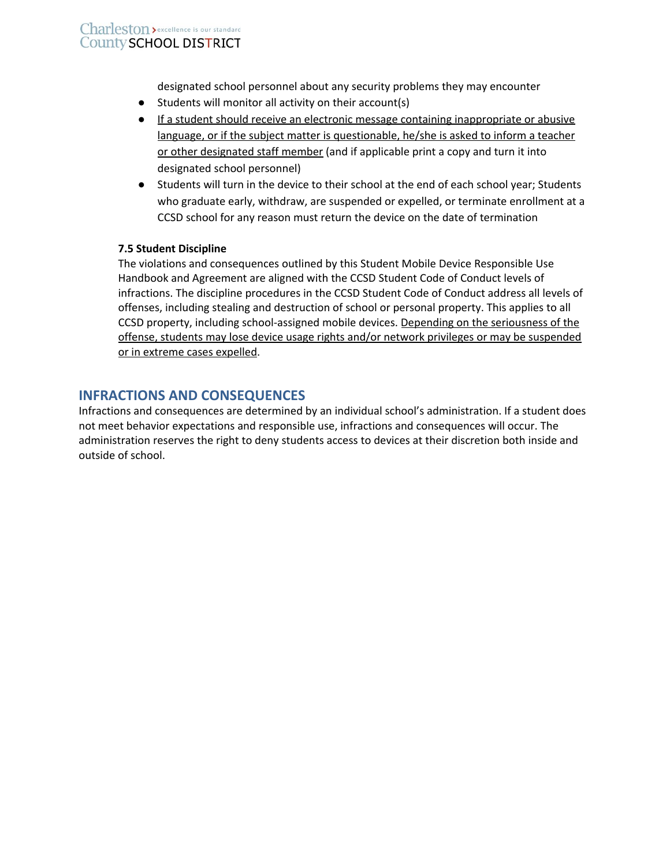designated school personnel about any security problems they may encounter

- Students will monitor all activity on their account(s)
- If a student should receive an electronic message containing inappropriate or abusive language, or if the subject matter is questionable, he/she is asked to inform a teacher or other designated staff member (and if applicable print a copy and turn it into designated school personnel)
- Students will turn in the device to their school at the end of each school year; Students who graduate early, withdraw, are suspended or expelled, or terminate enrollment at a CCSD school for any reason must return the device on the date of termination

# **7.5 Student Discipline**

The violations and consequences outlined by this Student Mobile Device Responsible Use Handbook and Agreement are aligned with the CCSD Student Code of Conduct levels of infractions. The discipline procedures in the CCSD Student Code of Conduct address all levels of offenses, including stealing and destruction of school or personal property. This applies to all CCSD property, including school-assigned mobile devices. Depending on the seriousness of the offense, students may lose device usage rights and/or network privileges or may be suspended or in extreme cases expelled.

# <span id="page-7-0"></span>**INFRACTIONS AND CONSEQUENCES**

Infractions and consequences are determined by an individual school's administration. If a student does not meet behavior expectations and responsible use, infractions and consequences will occur. The administration reserves the right to deny students access to devices at their discretion both inside and outside of school.